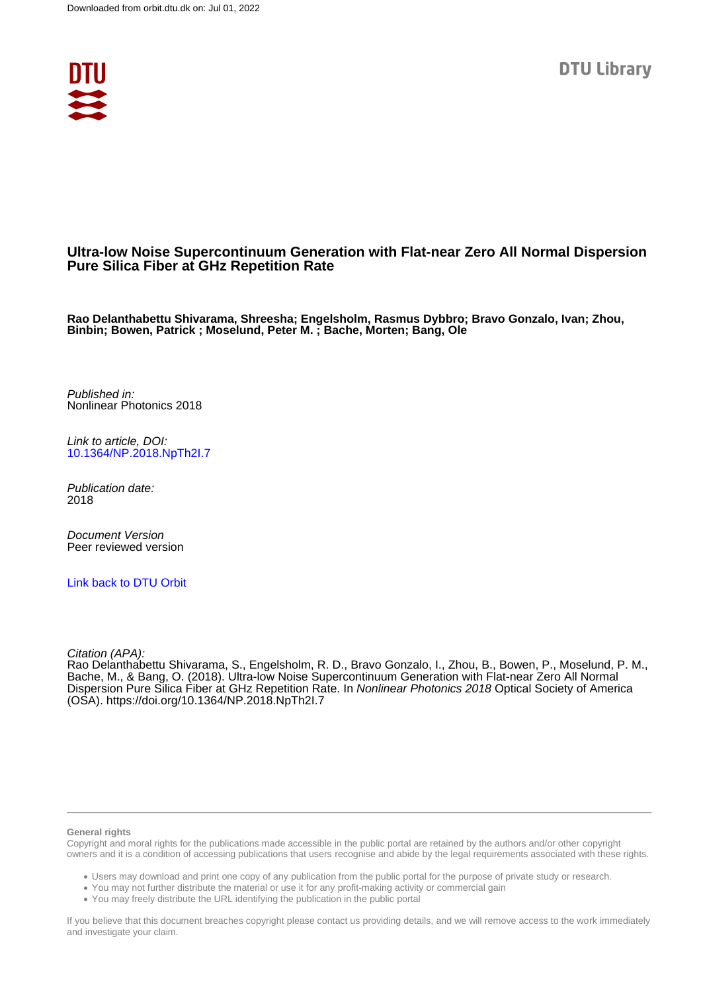

# **Ultra-low Noise Supercontinuum Generation with Flat-near Zero All Normal Dispersion Pure Silica Fiber at GHz Repetition Rate**

**Rao Delanthabettu Shivarama, Shreesha; Engelsholm, Rasmus Dybbro; Bravo Gonzalo, Ivan; Zhou, Binbin; Bowen, Patrick ; Moselund, Peter M. ; Bache, Morten; Bang, Ole**

Published in: Nonlinear Photonics 2018

Link to article, DOI: [10.1364/NP.2018.NpTh2I.7](https://doi.org/10.1364/NP.2018.NpTh2I.7)

Publication date: 2018

Document Version Peer reviewed version

[Link back to DTU Orbit](https://orbit.dtu.dk/en/publications/fb396297-e510-473e-9a15-6f6401a1f1ed)

Citation (APA):

Rao Delanthabettu Shivarama, S., Engelsholm, R. D., Bravo Gonzalo, I., Zhou, B., Bowen, P., Moselund, P. M., Bache, M., & Bang, O. (2018). Ultra-low Noise Supercontinuum Generation with Flat-near Zero All Normal Dispersion Pure Silica Fiber at GHz Repetition Rate. In Nonlinear Photonics 2018 Optical Society of America (OSA).<https://doi.org/10.1364/NP.2018.NpTh2I.7>

#### **General rights**

Copyright and moral rights for the publications made accessible in the public portal are retained by the authors and/or other copyright owners and it is a condition of accessing publications that users recognise and abide by the legal requirements associated with these rights.

Users may download and print one copy of any publication from the public portal for the purpose of private study or research.

- You may not further distribute the material or use it for any profit-making activity or commercial gain
- You may freely distribute the URL identifying the publication in the public portal

If you believe that this document breaches copyright please contact us providing details, and we will remove access to the work immediately and investigate your claim.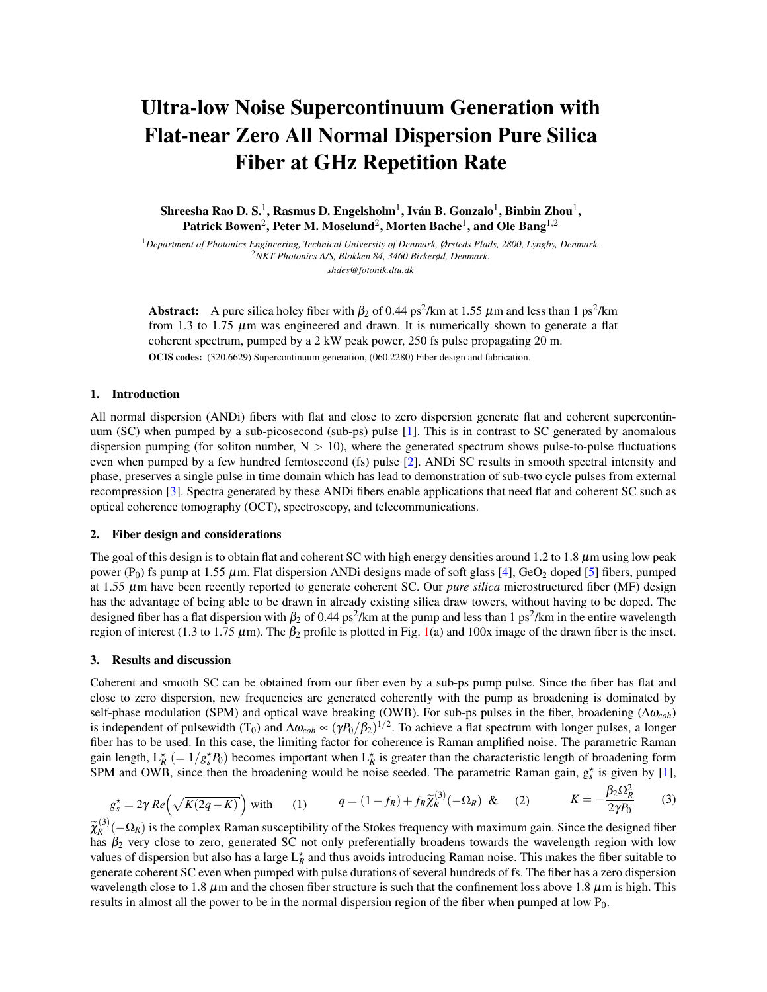# Ultra-low Noise Supercontinuum Generation with Flat-near Zero All Normal Dispersion Pure Silica Fiber at GHz Repetition Rate

Shreesha Rao D. S.<sup>1</sup>, Rasmus D. Engelsholm<sup>1</sup>, Iván B. Gonzalo<sup>1</sup>, Binbin Zhou<sup>1</sup>, Patrick Bowen $^2$ , Peter M. Moselund $^2$ , Morten Bache $^1$ , and Ole Bang $^{1,2}$ 

<sup>1</sup>*Department of Photonics Engineering, Technical University of Denmark, Ørsteds Plads, 2800, Lyngby, Denmark.* <sup>2</sup>*NKT Photonics A/S, Blokken 84, 3460 Birkerød, Denmark. shdes@fotonik.dtu.dk*

**Abstract:** A pure silica holey fiber with  $\beta_2$  of 0.44 ps<sup>2</sup>/km at 1.55  $\mu$ m and less than 1 ps<sup>2</sup>/km from 1.3 to 1.75  $\mu$ m was engineered and drawn. It is numerically shown to generate a flat coherent spectrum, pumped by a 2 kW peak power, 250 fs pulse propagating 20 m. OCIS codes: (320.6629) Supercontinuum generation, (060.2280) Fiber design and fabrication.

#### 1. Introduction

All normal dispersion (ANDi) fibers with flat and close to zero dispersion generate flat and coherent supercontinuum (SC) when pumped by a sub-picosecond (sub-ps) pulse [\[1\]](#page-2-0). This is in contrast to SC generated by anomalous dispersion pumping (for soliton number,  $N > 10$ ), where the generated spectrum shows pulse-to-pulse fluctuations even when pumped by a few hundred femtosecond (fs) pulse [\[2\]](#page-2-1). ANDi SC results in smooth spectral intensity and phase, preserves a single pulse in time domain which has lead to demonstration of sub-two cycle pulses from external recompression [\[3\]](#page-2-2). Spectra generated by these ANDi fibers enable applications that need flat and coherent SC such as optical coherence tomography (OCT), spectroscopy, and telecommunications.

#### 2. Fiber design and considerations

The goal of this design is to obtain flat and coherent SC with high energy densities around 1.2 to 1.8  $\mu$ m using low peak power (P<sub>0</sub>) fs pump at 1.55  $\mu$ m. Flat dispersion ANDi designs made of soft glass [\[4\]](#page-2-3), GeO<sub>2</sub> doped [\[5\]](#page-2-4) fibers, pumped at 1.55 µm have been recently reported to generate coherent SC. Our *pure silica* microstructured fiber (MF) design has the advantage of being able to be drawn in already existing silica draw towers, without having to be doped. The designed fiber has a flat dispersion with  $\beta_2$  of 0.44 ps<sup>2</sup>/km at the pump and less than 1 ps<sup>2</sup>/km in the entire wavelength region of interest (1.3 to 1.75 μm). The β<sub>2</sub> profile is plotted in Fig. [1\(](#page-2-5)a) and 100x image of the drawn fiber is the inset.

#### 3. Results and discussion

Coherent and smooth SC can be obtained from our fiber even by a sub-ps pump pulse. Since the fiber has flat and close to zero dispersion, new frequencies are generated coherently with the pump as broadening is dominated by self-phase modulation (SPM) and optical wave breaking (OWB). For sub-ps pulses in the fiber, broadening (∆ω*coh*) is independent of pulsewidth (T<sub>0</sub>) and  $\Delta\omega_{coh} \propto (\gamma P_0/\beta_2)^{1/2}$ . To achieve a flat spectrum with longer pulses, a longer fiber has to be used. In this case, the limiting factor for coherence is Raman amplified noise. The parametric Raman gain length,  $L_R^*$  (=  $1/g_s^*P_0$ ) becomes important when  $L_R^*$  is greater than the characteristic length of broadening form SPM and OWB, since then the broadening would be noise seeded. The parametric Raman gain,  $g_s^*$  is given by [\[1\]](#page-2-0),

$$
g_s^* = 2\gamma \operatorname{Re}\left(\sqrt{K(2q-K)}\right) \text{ with } (1) \qquad q = (1-f_R) + f_R \widetilde{\chi}_R^{(3)}(-\Omega_R) \& (2) \qquad K = -\frac{\beta_2 \Omega_R^2}{2\gamma P_0} \qquad (3)
$$

 $\widetilde{\chi}_{R}^{(3)}$  $R_R^{(3)}$  ( $-\Omega_R$ ) is the complex Raman susceptibility of the Stokes frequency with maximum gain. Since the designed fiber has  $\beta_2$  very close to zero, generated SC not only preferentially broadens towards the wavelength region with low values of dispersion but also has a large  $L_R^*$  and thus avoids introducing Raman noise. This makes the fiber suitable to generate coherent SC even when pumped with pulse durations of several hundreds of fs. The fiber has a zero dispersion wavelength close to 1.8  $\mu$ m and the chosen fiber structure is such that the confinement loss above 1.8  $\mu$ m is high. This results in almost all the power to be in the normal dispersion region of the fiber when pumped at low  $P_0$ .